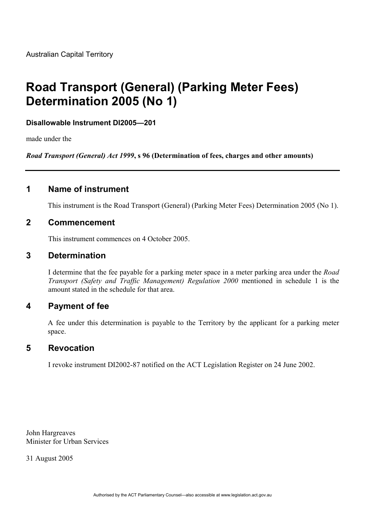# **Road Transport (General) (Parking Meter Fees) Determination 2005 (No 1)**

### **Disallowable Instrument DI2005—201**

made under the

*Road Transport (General) Act 1999***, s 96 (Determination of fees, charges and other amounts)**

# **1 Name of instrument**

This instrument is the Road Transport (General) (Parking Meter Fees) Determination 2005 (No 1).

#### **2 Commencement**

This instrument commences on 4 October 2005.

#### **3 Determination**

I determine that the fee payable for a parking meter space in a meter parking area under the *Road Transport (Safety and Traffic Management) Regulation 2000* mentioned in schedule 1 is the amount stated in the schedule for that area.

# **4 Payment of fee**

A fee under this determination is payable to the Territory by the applicant for a parking meter space.

# **5 Revocation**

I revoke instrument DI2002-87 notified on the ACT Legislation Register on 24 June 2002.

John Hargreaves Minister for Urban Services

31 August 2005